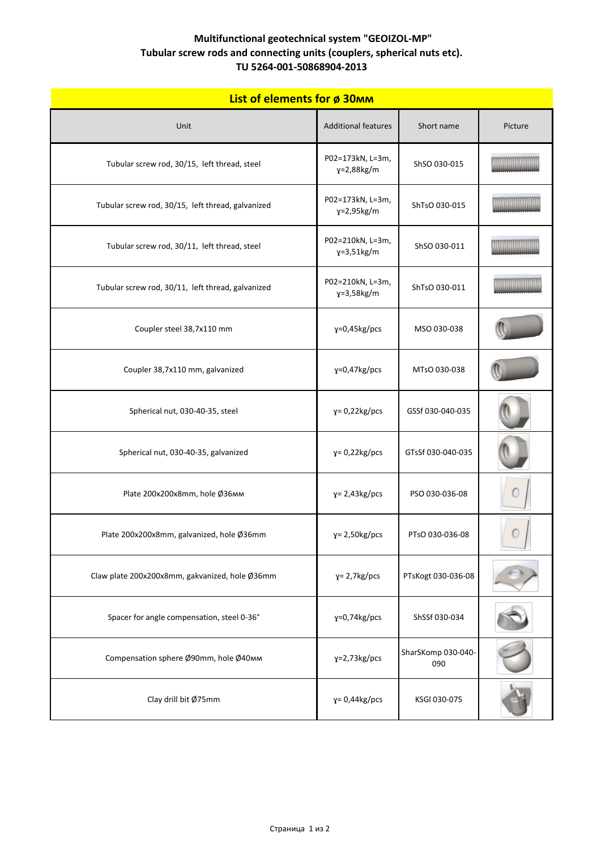| <b>List of elements for ø 30mm</b> |
|------------------------------------|
|------------------------------------|

| <u>LIST OF CICILICITIS TOP OF SUMME</u>           |                                   |                           |         |  |  |
|---------------------------------------------------|-----------------------------------|---------------------------|---------|--|--|
| Unit                                              | <b>Additional features</b>        | Short name                | Picture |  |  |
| Tubular screw rod, 30/15, left thread, steel      | P02=173kN, L=3m,<br>$y=2,88$ kg/m | ShSO 030-015              |         |  |  |
| Tubular screw rod, 30/15, left thread, galvanized | P02=173kN, L=3m,<br>$y=2,95kg/m$  | ShTsO 030-015             |         |  |  |
| Tubular screw rod, 30/11, left thread, steel      | P02=210kN, L=3m,<br>$y=3,51kg/m$  | ShSO 030-011              |         |  |  |
| Tubular screw rod, 30/11, left thread, galvanized | P02=210kN, L=3m,<br>$y=3,58$ kg/m | ShTsO 030-011             |         |  |  |
| Coupler steel 38,7x110 mm                         | y=0,45kg/pcs                      | MSO 030-038               |         |  |  |
| Coupler 38,7x110 mm, galvanized                   | $y=0,47$ kg/pcs                   | MTsO 030-038              |         |  |  |
| Spherical nut, 030-40-35, steel                   | $y = 0.22$ kg/pcs                 | GSSf 030-040-035          |         |  |  |
| Spherical nut, 030-40-35, galvanized              | $y = 0.22$ kg/pcs                 | GTsSf 030-040-035         |         |  |  |
| Plate 200x200x8mm, hole Ø36mm                     | $y = 2,43kg/pcs$                  | PSO 030-036-08            |         |  |  |
| Plate 200x200x8mm, galvanized, hole Ø36mm         | $y = 2,50kg/pcs$                  | PTsO 030-036-08           |         |  |  |
| Claw plate 200x200x8mm, gakvanized, hole Ø36mm    | $y = 2,7kg/pcs$                   | PTsKogt 030-036-08        |         |  |  |
| Spacer for angle compensation, steel 0-36°        | $y=0,74$ kg/pcs                   | ShSSf 030-034             |         |  |  |
| Compensation sphere Ø90mm, hole Ø40мм             | $y=2,73$ kg/pcs                   | SharSKomp 030-040-<br>090 |         |  |  |
| Clay drill bit Ø75mm                              | $y = 0.44$ kg/pcs                 | KSGI 030-075              |         |  |  |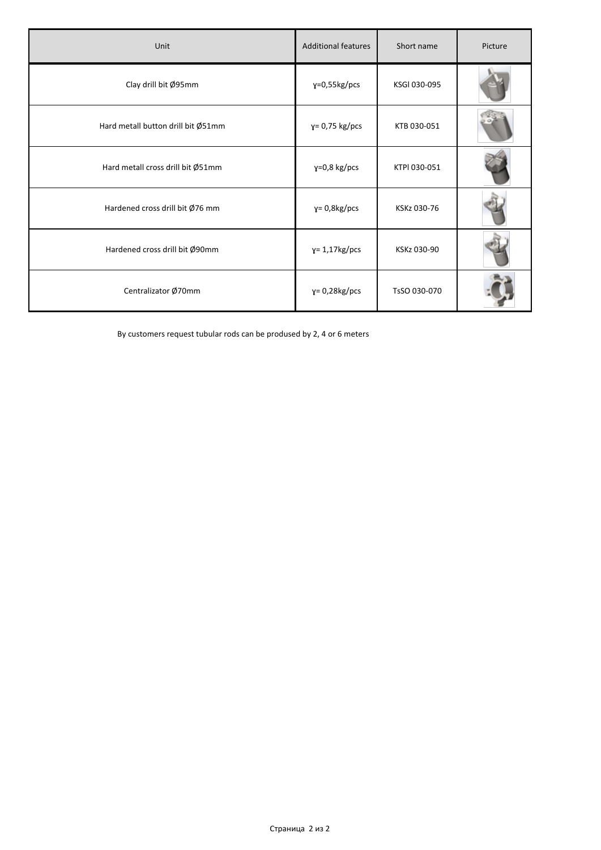| Unit                               | <b>Additional features</b> | Short name   | Picture |
|------------------------------------|----------------------------|--------------|---------|
| Clay drill bit Ø95mm               | $y=0,55kg/pcs$             | KSGI 030-095 |         |
| Hard metall button drill bit Ø51mm | $y = 0.75$ kg/pcs          | KTB 030-051  |         |
| Hard metall cross drill bit Ø51mm  | $y=0,8$ kg/pcs             | KTPI 030-051 |         |
| Hardened cross drill bit Ø76 mm    | $y = 0.8$ kg/pcs           | KSKz 030-76  |         |
| Hardened cross drill bit Ø90mm     | $y = 1,17kg/pcs$           | KSKz 030-90  |         |
| Centralizator Ø70mm                | $y = 0.28$ kg/pcs          | TsSO 030-070 |         |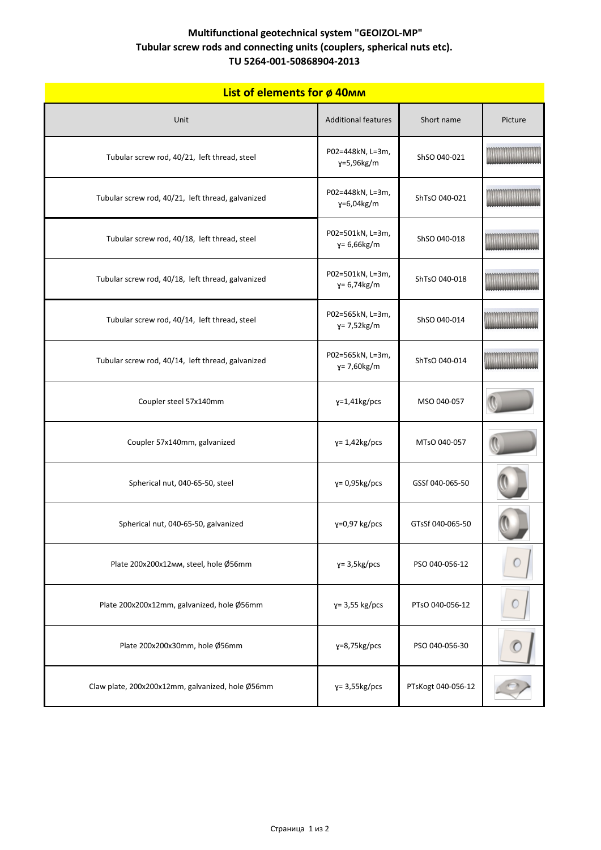| List of elements for ø 40mm                       |                                    |                    |         |
|---------------------------------------------------|------------------------------------|--------------------|---------|
| Unit                                              | <b>Additional features</b>         | Short name         | Picture |
| Tubular screw rod, 40/21, left thread, steel      | P02=448kN, L=3m,<br>y=5,96kg/m     | ShSO 040-021       |         |
| Tubular screw rod, 40/21, left thread, galvanized | P02=448kN, L=3m,<br>γ=6,04kg/m     | ShTsO 040-021      |         |
| Tubular screw rod, 40/18, left thread, steel      | P02=501kN, L=3m,<br>$y = 6,66kg/m$ | ShSO 040-018       |         |
| Tubular screw rod, 40/18, left thread, galvanized | P02=501kN, L=3m,<br>$y = 6,74kg/m$ | ShTsO 040-018      |         |
| Tubular screw rod, 40/14, left thread, steel      | P02=565kN, L=3m,<br>$y = 7,52kg/m$ | ShSO 040-014       |         |
| Tubular screw rod, 40/14, left thread, galvanized | P02=565kN, L=3m,<br>$y = 7,60kg/m$ | ShTsO 040-014      |         |
| Coupler steel 57x140mm                            | $y=1,41$ kg/pcs                    | MSO 040-057        |         |
| Coupler 57x140mm, galvanized                      | $y = 1.42$ kg/pcs                  | MTsO 040-057       |         |
| Spherical nut, 040-65-50, steel                   | $y = 0.95$ kg/pcs                  | GSSf 040-065-50    |         |
| Spherical nut, 040-65-50, galvanized              | $y=0.97$ kg/pcs                    | GTsSf 040-065-50   |         |
| Plate 200x200x12mm, steel, hole Ø56mm             | $y = 3.5$ kg/pcs                   | PSO 040-056-12     |         |
| Plate 200x200x12mm, galvanized, hole Ø56mm        | $y = 3,55$ kg/pcs                  | PTsO 040-056-12    |         |
| Plate 200x200x30mm, hole Ø56mm                    | $y=8,75kg/pcs$                     | PSO 040-056-30     |         |
| Claw plate, 200x200x12mm, galvanized, hole Ø56mm  | $y = 3,55kg/pcs$                   | PTsKogt 040-056-12 |         |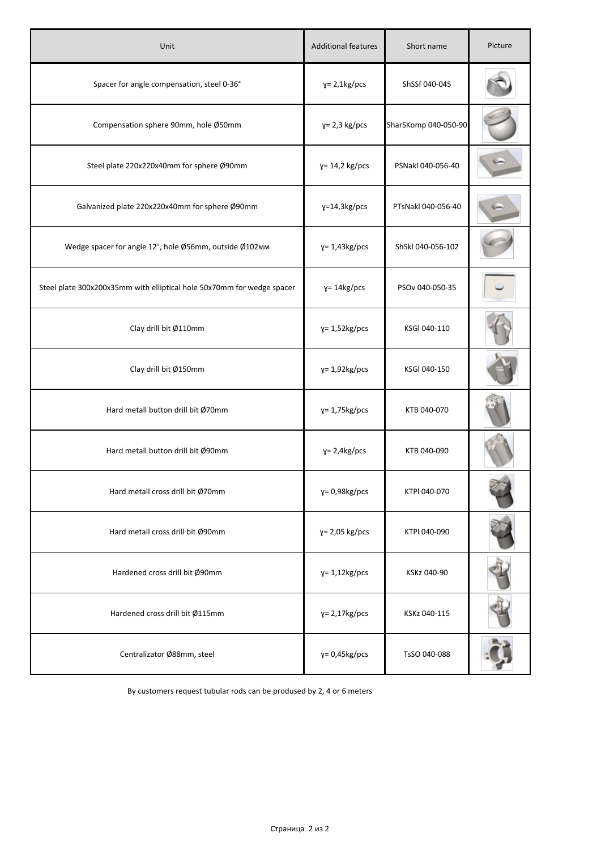| Unit                                                                   | <b>Additional features</b> | Short name           | Picture |
|------------------------------------------------------------------------|----------------------------|----------------------|---------|
| Spacer for angle compensation, steel 0-36°                             | $y = 2,1kg/pcs$            | ShSSf 040-045        |         |
| Compensation sphere 90mm, hole Ø50mm                                   | $y = 2,3$ kg/pcs           | SharSKomp 040-050-90 |         |
| Steel plate 220x220x40mm for sphere Ø90mm                              | $y = 14,2$ kg/pcs          | PSNakl 040-056-40    |         |
| Galvanized plate 220x220x40mm for sphere Ø90mm                         | $y=14,3kg/pcs$             | PTsNakl 040-056-40   |         |
| Wedge spacer for angle 12°, hole Ø56mm, outside Ø102mm                 | $y = 1.43$ kg/pcs          | ShSkl 040-056-102    |         |
| Steel plate 300x200x35mm with elliptical hole 50x70mm for wedge spacer | $y = 14$ kg/pcs            | PSOv 040-050-35      |         |
| Clay drill bit Ø110mm                                                  | $y = 1,52kg/pcs$           | KSGI 040-110         |         |
| Clay drill bit Ø150mm                                                  | $y = 1.92$ kg/pcs          | KSGI 040-150         |         |
| Hard metall button drill bit Ø70mm                                     | $y = 1,75kg/pcs$           | KTB 040-070          |         |
| Hard metall button drill bit Ø90mm                                     | $y = 2,4kg/pcs$            | KTB 040-090          |         |
| Hard metall cross drill bit Ø70mm                                      | $y = 0.98$ kg/pcs          | KTPI 040-070         |         |
| Hard metall cross drill bit Ø90mm                                      | $y = 2,05$ kg/pcs          | KTPI 040-090         |         |
| Hardened cross drill bit Ø90mm                                         | $y = 1,12kg/pcs$           | KSKz 040-90          |         |
| Hardened cross drill bit Ø115mm                                        | $y = 2,17kg/pcs$           | KSKz 040-115         |         |
| Centralizator Ø88mm, steel                                             | $y = 0.45$ kg/pcs          | TsSO 040-088         |         |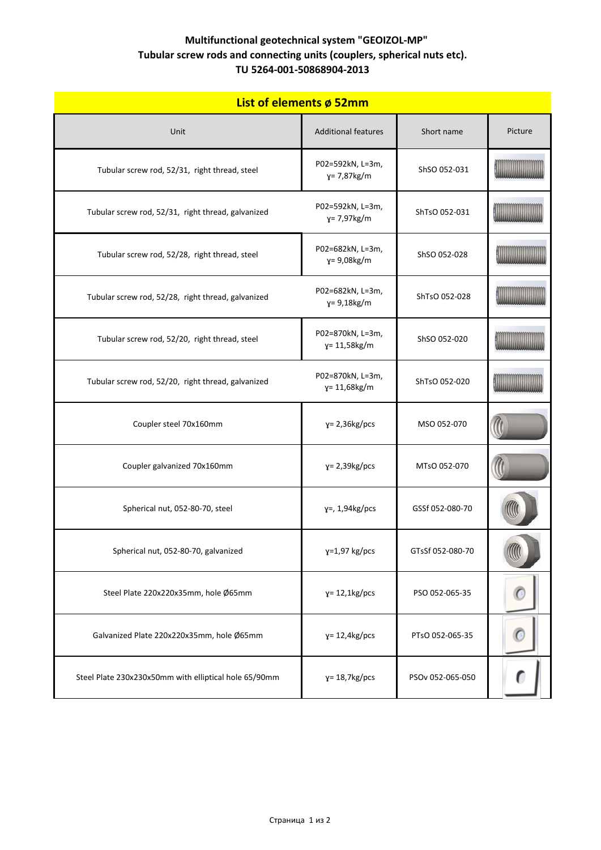| List of elements ø 52mm                               |                                      |                  |         |
|-------------------------------------------------------|--------------------------------------|------------------|---------|
| Unit                                                  | <b>Additional features</b>           | Short name       | Picture |
| Tubular screw rod, 52/31, right thread, steel         | P02=592kN, L=3m,<br>$y = 7,87kg/m$   | ShSO 052-031     |         |
| Tubular screw rod, 52/31, right thread, galvanized    | P02=592kN, L=3m,<br>$y = 7,97kg/m$   | ShTsO 052-031    |         |
| Tubular screw rod, 52/28, right thread, steel         | P02=682kN, L=3m,<br>$y = 9,08kg/m$   | ShSO 052-028     |         |
| Tubular screw rod, 52/28, right thread, galvanized    | P02=682kN, L=3m,<br>$y = 9,18$ kg/m  | ShTsO 052-028    |         |
| Tubular screw rod, 52/20, right thread, steel         | P02=870kN, L=3m,<br>$y = 11,58$ kg/m | ShSO 052-020     |         |
| Tubular screw rod, 52/20, right thread, galvanized    | P02=870kN, L=3m,<br>y= 11,68kg/m     | ShTsO 052-020    |         |
| Coupler steel 70x160mm                                | $y = 2,36kg/pcs$                     | MSO 052-070      |         |
| Coupler galvanized 70x160mm                           | $y = 2,39kg/pcs$                     | MTsO 052-070     |         |
| Spherical nut, 052-80-70, steel                       | $y=$ , 1,94 $kg$ /pcs                | GSSf 052-080-70  |         |
| Spherical nut, 052-80-70, galvanized                  | $y=1,97$ kg/pcs                      | GTsSf 052-080-70 |         |
| Steel Plate 220x220x35mm, hole Ø65mm                  | $y = 12,1kg/pcs$                     | PSO 052-065-35   | C       |
| Galvanized Plate 220x220x35mm, hole Ø65mm             | $y = 12,4kg/pcs$                     | PTsO 052-065-35  |         |
| Steel Plate 230x230x50mm with elliptical hole 65/90mm | $y = 18,7kg/pcs$                     | PSOv 052-065-050 |         |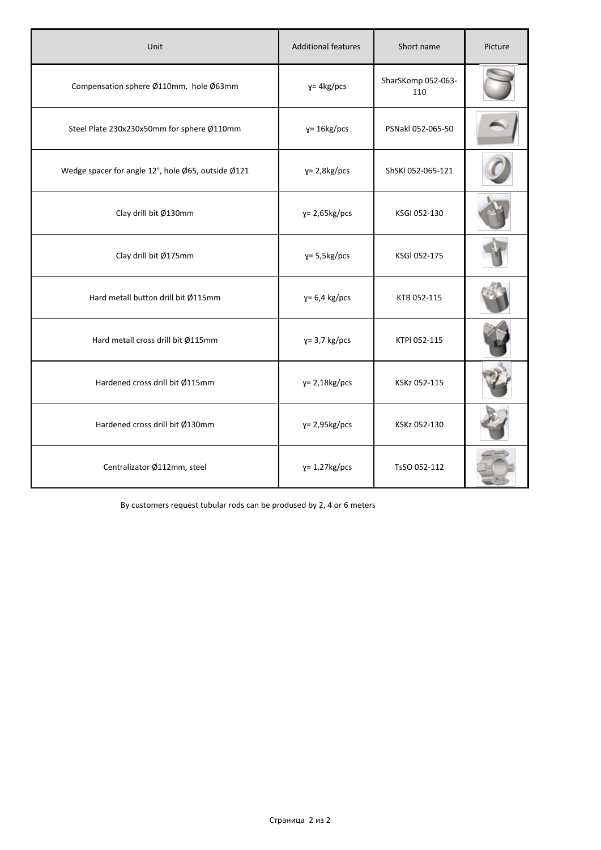| Unit                                               | <b>Additional features</b> | Short name                | Picture |
|----------------------------------------------------|----------------------------|---------------------------|---------|
| Compensation sphere Ø110mm, hole Ø63mm             | $y = 4kg/pcs$              | SharSKomp 052-063-<br>110 |         |
| Steel Plate 230x230x50mm for sphere Ø110mm         | $y = 16$ kg/pcs            | PSNakl 052-065-50         |         |
| Wedge spacer for angle 12°, hole Ø65, outside Ø121 | $y = 2,8kg/pcs$            | ShSKI 052-065-121         |         |
| Clay drill bit Ø130mm                              | $y = 2,65kg/pcs$           | KSGI 052-130              |         |
| Clay drill bit Ø175mm                              | $y = 5,5kg/pcs$            | KSGI 052-175              |         |
| Hard metall button drill bit Ø115mm                | $y=6.4$ kg/pcs             | KTB 052-115               |         |
| Hard metall cross drill bit Ø115mm                 | $y = 3.7$ kg/pcs           | KTPI 052-115              |         |
| Hardened cross drill bit Ø115mm                    | $y = 2,18$ kg/pcs          | KSKz 052-115              |         |
| Hardened cross drill bit Ø130mm                    | $y = 2,95kg/pcs$           | KSKz 052-130              |         |
| Centralizator Ø112mm, steel                        | $y = 1,27kg/pcs$           | TsSO 052-112              |         |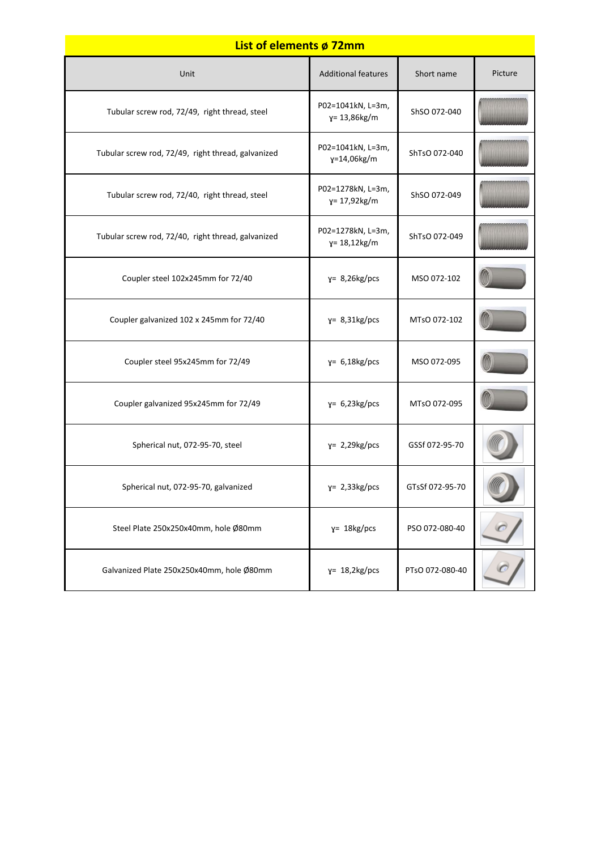# **List of elements ø 72mm**

| Unit                                               | <b>Additional features</b>            | Short name      | Picture |
|----------------------------------------------------|---------------------------------------|-----------------|---------|
| Tubular screw rod, 72/49, right thread, steel      | P02=1041kN, L=3m,<br>γ= 13,86kg/m     | ShSO 072-040    |         |
| Tubular screw rod, 72/49, right thread, galvanized | P02=1041kN, L=3m,<br>y=14,06kg/m      | ShTsO 072-040   |         |
| Tubular screw rod, 72/40, right thread, steel      | P02=1278kN, L=3m,<br>γ= 17,92kg/m     | ShSO 072-049    |         |
| Tubular screw rod, 72/40, right thread, galvanized | P02=1278kN, L=3m,<br>$y = 18,12$ kg/m | ShTsO 072-049   |         |
| Coupler steel 102x245mm for 72/40                  | $y = 8,26kg/pcs$                      | MSO 072-102     |         |
| Coupler galvanized 102 x 245mm for 72/40           | $y = 8,31kg/pcs$                      | MTsO 072-102    |         |
| Coupler steel 95x245mm for 72/49                   | $y = 6,18kg/pcs$                      | MSO 072-095     |         |
| Coupler galvanized 95x245mm for 72/49              | $y= 6,23kg/pcs$                       | MTsO 072-095    |         |
| Spherical nut, 072-95-70, steel                    | $y = 2,29kg/pcs$                      | GSSf 072-95-70  |         |
| Spherical nut, 072-95-70, galvanized               | $y = 2,33kg/pcs$                      | GTsSf 072-95-70 |         |
| Steel Plate 250x250x40mm, hole Ø80mm               | $y = 18$ kg/pcs                       | PSO 072-080-40  |         |
| Galvanized Plate 250x250x40mm, hole Ø80mm          | $y = 18,2kg/pcs$                      | PTsO 072-080-40 |         |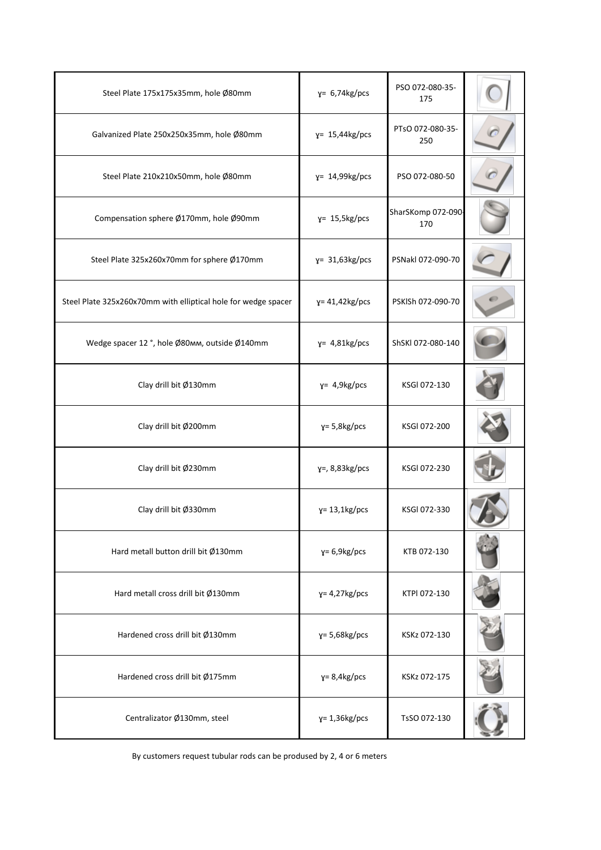| Steel Plate 175x175x35mm, hole Ø80mm                           | $y= 6,74kg/pcs$      | PSO 072-080-35-<br>175   |  |
|----------------------------------------------------------------|----------------------|--------------------------|--|
| Galvanized Plate 250x250x35mm, hole Ø80mm                      | $y = 15,44kg/pcs$    | PTsO 072-080-35-<br>250  |  |
| Steel Plate 210x210x50mm, hole Ø80mm                           | $y = 14,99kg/pcs$    | PSO 072-080-50           |  |
| Compensation sphere Ø170mm, hole Ø90mm                         | $y = 15,5kg/pcs$     | SharSKomp 072-090<br>170 |  |
| Steel Plate 325x260x70mm for sphere Ø170mm                     | $y = 31,63kg/pcs$    | PSNakl 072-090-70        |  |
| Steel Plate 325x260x70mm with elliptical hole for wedge spacer | $y = 41,42kg/pcs$    | PSKISh 072-090-70        |  |
| Wedge spacer 12°, hole Ø80mm, outside Ø140mm                   | $y = 4,81kg/pcs$     | ShSKI 072-080-140        |  |
| Clay drill bit Ø130mm                                          | $y = 4.9kg/pcs$      | KSGI 072-130             |  |
| Clay drill bit Ø200mm                                          | $y = 5,8$ kg/pcs     | KSGI 072-200             |  |
| Clay drill bit Ø230mm                                          | $y=$ , 8,83 $kg/pcs$ | KSGI 072-230             |  |
| Clay drill bit Ø330mm                                          | $y = 13,1kg/pcs$     | KSGI 072-330             |  |
| Hard metall button drill bit Ø130mm                            | $y=6.9kg/pcs$        | KTB 072-130              |  |
| Hard metall cross drill bit Ø130mm                             | $y = 4,27kg/pcs$     | KTPI 072-130             |  |
| Hardened cross drill bit Ø130mm                                | $y = 5,68$ kg/pcs    | KSKz 072-130             |  |
| Hardened cross drill bit Ø175mm                                | $y = 8,4kg/pcs$      | KSKz 072-175             |  |
| Centralizator Ø130mm, steel                                    | $y = 1,36kg/pcs$     | TsSO 072-130             |  |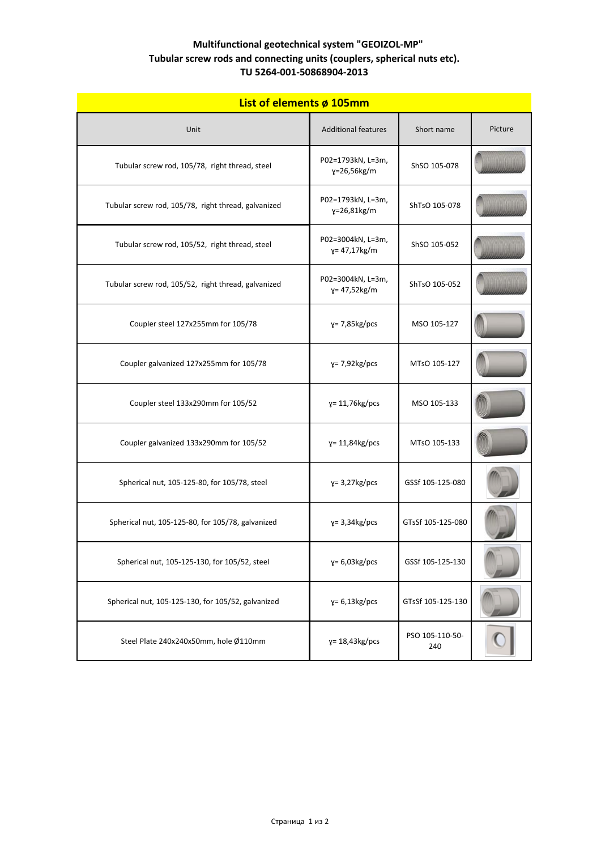| List of elements ø 105mm                            |                                       |                        |         |
|-----------------------------------------------------|---------------------------------------|------------------------|---------|
| Unit                                                | <b>Additional features</b>            | Short name             | Picture |
| Tubular screw rod, 105/78, right thread, steel      | P02=1793kN, L=3m,<br>y=26,56kg/m      | ShSO 105-078           |         |
| Tubular screw rod, 105/78, right thread, galvanized | P02=1793kN, L=3m,<br>$y = 26,81 kg/m$ | ShTsO 105-078          |         |
| Tubular screw rod, 105/52, right thread, steel      | P02=3004kN, L=3m,<br>$y = 47,17kg/m$  | ShSO 105-052           |         |
| Tubular screw rod, 105/52, right thread, galvanized | P02=3004kN, L=3m,<br>$y = 47,52kg/m$  | ShTsO 105-052          |         |
| Coupler steel 127x255mm for 105/78                  | $y = 7,85$ kg/pcs                     | MSO 105-127            |         |
| Coupler galvanized 127x255mm for 105/78             | $y = 7.92$ kg/pcs                     | MTsO 105-127           |         |
| Coupler steel 133x290mm for 105/52                  | $y = 11,76kg/pcs$                     | MSO 105-133            |         |
| Coupler galvanized 133x290mm for 105/52             | $y = 11,84$ kg/pcs                    | MTsO 105-133           |         |
| Spherical nut, 105-125-80, for 105/78, steel        | $y = 3,27kg/pcs$                      | GSSf 105-125-080       |         |
| Spherical nut, 105-125-80, for 105/78, galvanized   | $y = 3,34kg/pcs$                      | GTsSf 105-125-080      |         |
| Spherical nut, 105-125-130, for 105/52, steel       | $y=6,03kg/pcs$                        | GSSf 105-125-130       |         |
| Spherical nut, 105-125-130, for 105/52, galvanized  | $y=6,13kg/pcs$                        | GTsSf 105-125-130      |         |
| Steel Plate 240x240x50mm, hole Ø110mm               | $y = 18,43kg/pcs$                     | PSO 105-110-50-<br>240 |         |